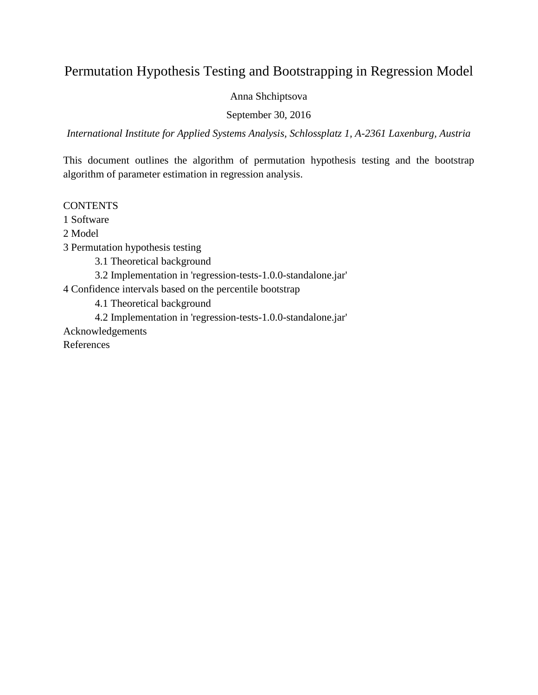# Permutation Hypothesis Testing and Bootstrapping in Regression Model

Anna Shchiptsova

September 30, 2016

*International Institute for Applied Systems Analysis, Schlossplatz 1, A-2361 Laxenburg, Austria*

This document outlines the algorithm of permutation hypothesis testing and the bootstrap algorithm of parameter estimation in regression analysis.

# **CONTENTS**

1 Software

2 Model

3 Permutation hypothesis testing

3.1 Theoretical background

3.2 Implementation in 'regression-tests-1.0.0-standalone.jar'

4 Confidence intervals based on the percentile bootstrap

4.1 Theoretical background

4.2 Implementation in 'regression-tests-1.0.0-standalone.jar'

Acknowledgements

References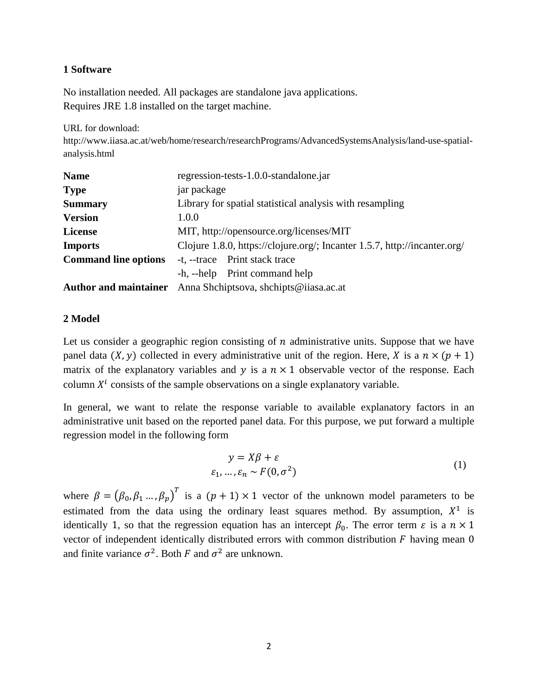# **1 Software**

No installation needed. All packages are standalone java applications. Requires JRE 1.8 installed on the target machine.

URL for download:

http://www.iiasa.ac.at/web/home/research/researchPrograms/AdvancedSystemsAnalysis/land-use-spatialanalysis.html

| <b>Name</b>                  | regression-tests-1.0.0-standalone.jar                                     |  |  |
|------------------------------|---------------------------------------------------------------------------|--|--|
| <b>Type</b>                  | jar package                                                               |  |  |
| <b>Summary</b>               | Library for spatial statistical analysis with resampling                  |  |  |
| <b>Version</b>               | 1.0.0                                                                     |  |  |
| <b>License</b>               | MIT, http://opensource.org/licenses/MIT                                   |  |  |
| <b>Imports</b>               | Clojure 1.8.0, https://clojure.org/; Incanter 1.5.7, http://incanter.org/ |  |  |
| <b>Command line options</b>  | -t, --trace Print stack trace                                             |  |  |
|                              | -h, --help Print command help                                             |  |  |
| <b>Author and maintainer</b> | Anna Shchiptsova, shchipts@iiasa.ac.at                                    |  |  |

# **2 Model**

Let us consider a geographic region consisting of  $n$  administrative units. Suppose that we have panel data  $(X, y)$  collected in every administrative unit of the region. Here, X is a  $n \times (p + 1)$ matrix of the explanatory variables and  $y$  is a  $n \times 1$  observable vector of the response. Each column  $X^i$  consists of the sample observations on a single explanatory variable.

In general, we want to relate the response variable to available explanatory factors in an administrative unit based on the reported panel data. For this purpose, we put forward a multiple regression model in the following form

$$
y = X\beta + \varepsilon
$$
  

$$
\varepsilon_1, \dots, \varepsilon_n \sim F(0, \sigma^2)
$$
 (1)

where  $\beta = (\beta_0, \beta_1, ..., \beta_p)^T$  is a  $(p + 1) \times 1$  vector of the unknown model parameters to be estimated from the data using the ordinary least squares method. By assumption,  $X^1$  is identically 1, so that the regression equation has an intercept  $\beta_0$ . The error term  $\varepsilon$  is a  $n \times 1$ vector of independent identically distributed errors with common distribution  $F$  having mean  $0$ and finite variance  $\sigma^2$ . Both F and  $\sigma^2$  are unknown.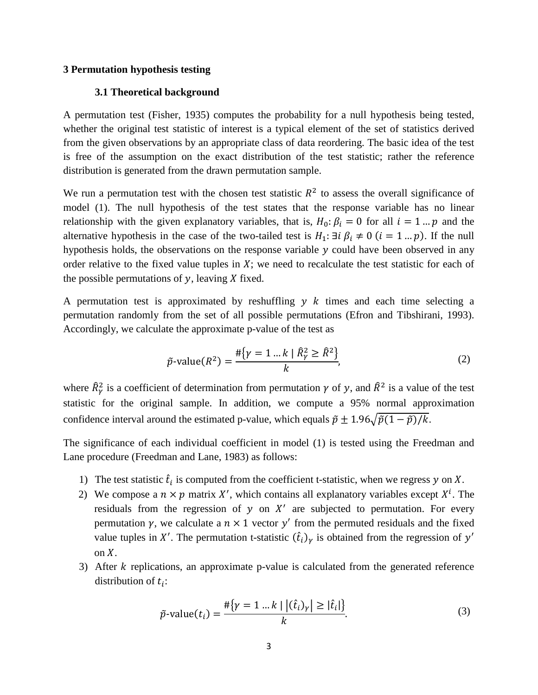### **3 Permutation hypothesis testing**

### **3.1 Theoretical background**

A permutation test (Fisher, 1935) computes the probability for a null hypothesis being tested, whether the original test statistic of interest is a typical element of the set of statistics derived from the given observations by an appropriate class of data reordering. The basic idea of the test is free of the assumption on the exact distribution of the test statistic; rather the reference distribution is generated from the drawn permutation sample.

We run a permutation test with the chosen test statistic  $R^2$  to assess the overall significance of model (1). The null hypothesis of the test states that the response variable has no linear relationship with the given explanatory variables, that is,  $H_0: \beta_i = 0$  for all  $i = 1 ... p$  and the alternative hypothesis in the case of the two-tailed test is  $H_1: \exists i \beta_i \neq 0$   $(i = 1 ... p)$ . If the null hypothesis holds, the observations on the response variable  $y$  could have been observed in any order relative to the fixed value tuples in  $X$ ; we need to recalculate the test statistic for each of the possible permutations of  $y$ , leaving  $X$  fixed.

A permutation test is approximated by reshuffling  $y \, k$  times and each time selecting a permutation randomly from the set of all possible permutations (Efron and Tibshirani, 1993). Accordingly, we calculate the approximate p-value of the test as

$$
\tilde{p}\text{-value}(R^2) = \frac{\# \{ \gamma = 1 \dots k \mid \hat{R}^2_{\gamma} \ge \hat{R}^2 \}}{k},\tag{2}
$$

where  $\hat{R}_{\gamma}^2$  is a coefficient of determination from permutation  $\gamma$  of y, and  $\hat{R}^2$  is a value of the test statistic for the original sample. In addition, we compute a 95% normal approximation confidence interval around the estimated p-value, which equals  $\tilde{p} \pm 1.96\sqrt{\tilde{p}(1-\tilde{p})/k}$ .

The significance of each individual coefficient in model (1) is tested using the Freedman and Lane procedure (Freedman and Lane, 1983) as follows:

- 1) The test statistic  $\hat{t}_i$  is computed from the coefficient t-statistic, when we regress y on X.
- 2) We compose a  $n \times p$  matrix X', which contains all explanatory variables except  $X^l$ . The residuals from the regression of  $y$  on  $X'$  are subjected to permutation. For every permutation  $\gamma$ , we calculate a  $n \times 1$  vector  $\gamma'$  from the permuted residuals and the fixed value tuples in X'. The permutation t-statistic  $(\hat{t}_i)_{\gamma}$  is obtained from the regression of  $y'$ on  $X$ .
- 3) After  $k$  replications, an approximate p-value is calculated from the generated reference distribution of  $t_i$ :

$$
\tilde{p}\text{-value}(t_i) = \frac{\#\{\gamma = 1 \dots k \mid |(\hat{t}_i)_{\gamma}| \geq |\hat{t}_i|\}}{k}.\tag{3}
$$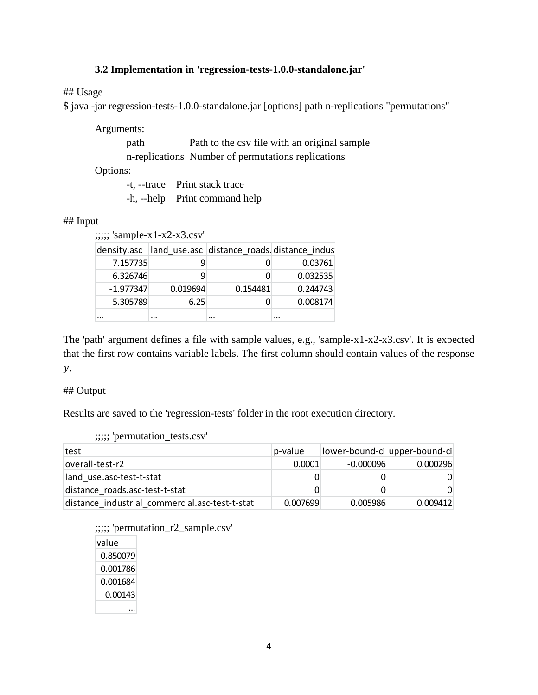# **3.2 Implementation in 'regression-tests-1.0.0-standalone.jar'**

## Usage

\$ java -jar regression-tests-1.0.0-standalone.jar [options] path n-replications "permutations"

Arguments:

path Path to the csv file with an original sample n-replications Number of permutations replications

Options:

-t, --trace Print stack trace

-h, --help Print command help

## ## Input

;;;;; 'sample-x1-x2-x3.csv'

|             |          | density.asc land use.asc distance roads distance indus |          |
|-------------|----------|--------------------------------------------------------|----------|
| 7.157735    |          |                                                        | 0.03761  |
| 6.326746    | q        |                                                        | 0.032535 |
| $-1.977347$ | 0.019694 | 0.154481                                               | 0.244743 |
| 5.305789    | 6.25     |                                                        | 0.008174 |
|             |          |                                                        |          |

The 'path' argument defines a file with sample values, e.g., 'sample-x1-x2-x3.csv'. It is expected that the first row contains variable labels. The first column should contain values of the response  $y$ .

#### ## Output

Results are saved to the 'regression-tests' folder in the root execution directory.

| ;;;;; 'permutation_tests.csv' |  |
|-------------------------------|--|
|                               |  |

| test                                           | p-value  | lower-bound-ci upper-bound-ci |          |
|------------------------------------------------|----------|-------------------------------|----------|
| overall-test-r2                                | 0.0001   | $-0.000096$                   | 0.000296 |
| land use.asc-test-t-stat                       |          |                               |          |
| distance roads.asc-test-t-stat                 |          |                               |          |
| distance industrial commercial.asc-test-t-stat | 0.007699 | 0.005986                      | 0.009412 |

;;;;; 'permutation\_r2\_sample.csv' value 0.850079 0.001786

| 0.001684 |
|----------|
| 0.00143  |
|          |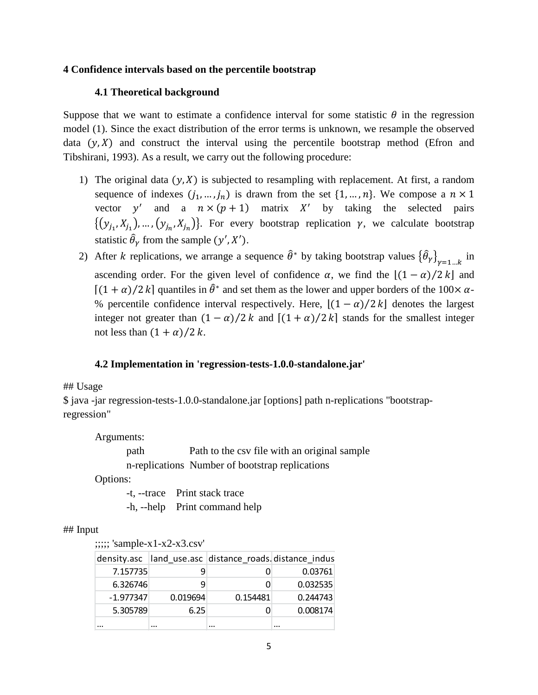## **4 Confidence intervals based on the percentile bootstrap**

## **4.1 Theoretical background**

Suppose that we want to estimate a confidence interval for some statistic  $\theta$  in the regression model (1). Since the exact distribution of the error terms is unknown, we resample the observed data  $(y, X)$  and construct the interval using the percentile bootstrap method (Efron and Tibshirani, 1993). As a result, we carry out the following procedure:

- 1) The original data  $(y, X)$  is subjected to resampling with replacement. At first, a random sequence of indexes  $(j_1, ..., j_n)$  is drawn from the set  $\{1, ..., n\}$ . We compose a  $n \times 1$ vector y' and a  $n \times (p + 1)$  matrix X' by taking the selected pairs  $\{(y_{i_1}, X_{i_1}), ..., (y_{i_n}, X_{i_n})\}$ . For every bootstrap replication  $\gamma$ , we calculate bootstrap statistic  $\hat{\theta}_{\gamma}$  from the sample  $(y', X')$ .
- 2) After *k* replications, we arrange a sequence  $\hat{\theta}^*$  by taking bootstrap values  $\{\hat{\theta}_\gamma\}_{\gamma=1...k}$  in ascending order. For the given level of confidence  $\alpha$ , we find the  $[(1 - \alpha)/2 k]$  and  $[(1 + \alpha)/2]$  quantiles in  $\hat{\theta}^*$  and set them as the lower and upper borders of the 100×  $\alpha$ -% percentile confidence interval respectively. Here,  $\lfloor (1 - \alpha)/2 \, k \rfloor$  denotes the largest integer not greater than  $(1 - \alpha)/2 k$  and  $[(1 + \alpha)/2 k]$  stands for the smallest integer not less than  $(1 + \alpha)/2$  k.

# **4.2 Implementation in 'regression-tests-1.0.0-standalone.jar'**

#### ## Usage

\$ java -jar regression-tests-1.0.0-standalone.jar [options] path n-replications "bootstrapregression"

Arguments:

path Path to the csv file with an original sample n-replications Number of bootstrap replications

Options:

-t, --trace Print stack trace -h, --help Print command help

#### ## Input

;;;;; 'sample-x1-x2-x3.csv'

|             |          | density.asc  land_use.asc  distance_roads.distance_indus |          |
|-------------|----------|----------------------------------------------------------|----------|
| 7.157735    |          |                                                          | 0.03761  |
| 6.326746    |          |                                                          | 0.032535 |
| $-1.977347$ | 0.019694 | 0.154481                                                 | 0.244743 |
| 5.305789    | 6.25     |                                                          | 0.008174 |
|             |          | $\cdots$                                                 |          |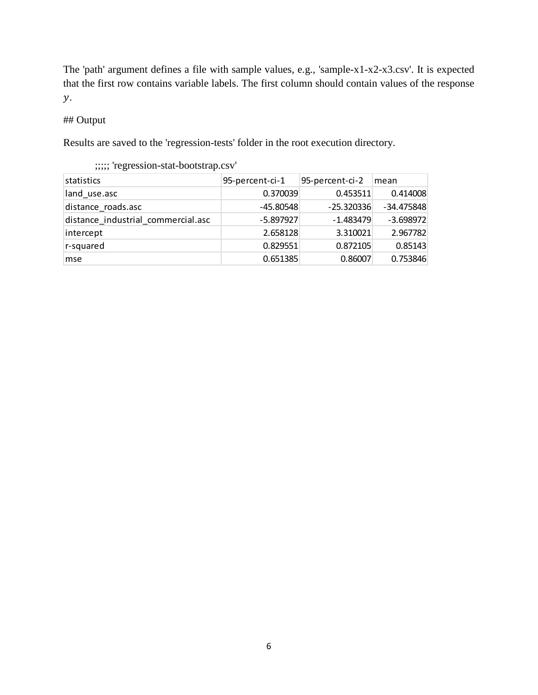The 'path' argument defines a file with sample values, e.g., 'sample-x1-x2-x3.csv'. It is expected that the first row contains variable labels. The first column should contain values of the response  $\mathcal{Y}$ .

## ## Output

Results are saved to the 'regression-tests' folder in the root execution directory.

| statistics                         | 95-percent-ci-1 | 95-percent-ci-2 | mean         |
|------------------------------------|-----------------|-----------------|--------------|
| land use.asc                       | 0.370039        | 0.453511        | 0.414008     |
| distance roads.asc                 | $-45.80548$     | $-25.320336$    | $-34.475848$ |
| distance industrial commercial.asc | $-5.897927$     | $-1.483479$     | $-3.698972$  |
| intercept                          | 2.658128        | 3.310021        | 2.967782     |
| r-squared                          | 0.829551        | 0.872105        | 0.85143      |
| mse                                | 0.651385        | 0.86007         | 0.753846     |

;;;;; 'regression-stat-bootstrap.csv'